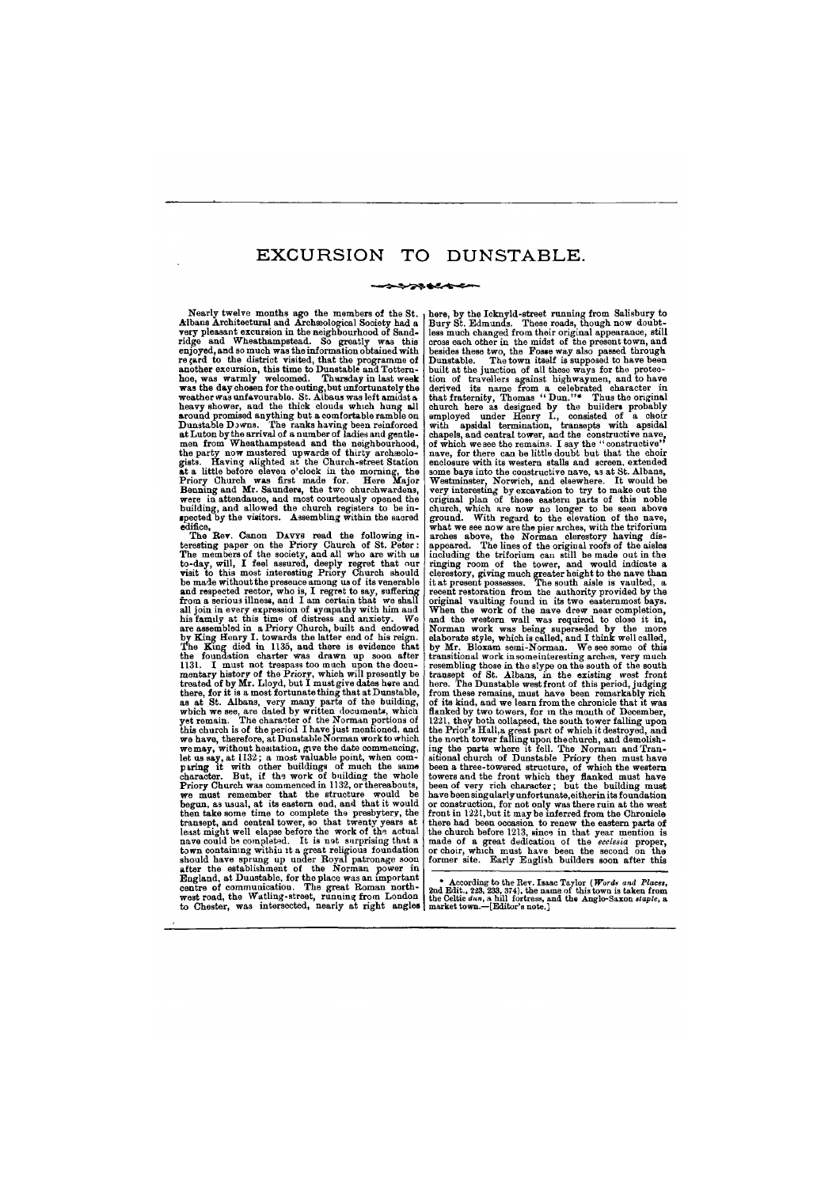#### **>>>>+++++++**

Nearly twelve months ago the members of the St. here, by the Icknyld-street running from Salisbury to Bury St. Edmunds. These roads, though now doubtless much changed from their original appearance, still cross each other in the midst of the present town, and besides these two, the Fosse way also passed through Dunstable. The town itself is supposed to have been built at the junction of all these ways for the protection of travellers against highwaymen, and to have derived its name from a celebrated character in that fraternity, Thomas "Dun."\* Thus the original church here as designed by the builders probably employed under Henry I., consisted of a choir with apsidal termination, transepts with apsidal chapels, and central tower, and the constructive nave, of which we see the remains. I say the "constructive'' nave, for there can be little doubt but that the choir enclosure with its western stalls and screen, extended some bays into the constructive nave, as at St. Albans, Westminster, Norwich, and elsewhere. It would be very interesting by excavation to try to make out the original plan of those eastern parts of this noble church, which are now no longer to be seen above ground. With regard to the elevation of the nave, what we see now are the pier arches, with the triforium arches above, the Norman clerestory having disappeared. The lines of the original roofs of the aisles including the triforium can still be made out in the recent restoration from the authority provided by the Norman work was being superseded by the more elaborate style, which is called, and I think well called, by Mr. Bloxam semi-Norman. We see some of this transitional work in some interesting arches, very much the Prior's Hall a great part of which it destroyed, and sitional church of Dunstable Priory then must have been a three-towered structure, of which the western towers and the front which they flanked must have the church before 1213, since in that year mention is made of a great dedication of the *ecclesia* proper, made of a great dedication of the ecclesia proper,

Albans Architectural and Archaeological Society had a very pleasant excursion in the neighbourhood of Sandridge and Wheathampstead. So greatly was this enjoyed, and so much was the information obtained with re gard to the district visited, that the programme of another excursion, this time to Dunstable and Totternhoe, was warmly welcomed. Thursday in last week was the day chosen for the outing, but unfortunately the weather was unfavourable. St. Albans was left amidst a heavy shower, and the thick clouds which hung all around promised anything but a comfortable ramble on Dunstable Downs. The ranks having been reinforced at Luton by the arrival of a number of  $\bar{\rm{I}}$ adies and gentlemen from Wheathampstead and the neighbourhood. the party now mustered upwards of thirty archaeologists. Having alighted at the Church-street Station at a little before eleven o'clock in the morning, the Priory Church was first made for. Here Major Benning and Mr. Saunders, the two churchwardens, were in attendance, and most courteously opened the building, and allowed the church registers to be inspected by the visitors. Assembling within the sacred edifice,

The Rev. Canon DAVYS read the following interesting paper on the Priory Church of St. Peter: The members of the society, and all who are with us to-day, will, I feel assured, deeply regret that our visit to this most interesting Priory Church should be made without the presence among us of its venerable and respected rector, who is, I regret to say, suffering from a serious illness, and I am certain that we shall all join in every expression of sympathy with him aud his family at this time of distress and anxiety. We are assembled in a Priory Church, built and endowed by King Henry I. towards the latter end of his reign. The King died in 1133, and there is evidence that the foundation charter was drawn up soon after 1131. I must not trespass too much upon the documentary history of the Priory, which will presently be treated of by Mr. Lloyd, but I must give dates here and there, for it is a most fortunate thing that at Dunstable, as at St. Albans, very many parts of the building, which we see, are dated by written documents, which yet remain. The character of the Norman portions of this church is of the period I have just mentioned, and we have, therefore, at Dunstable Norman work to which we may, without hesitation, give the date commencing, let us say, at 1132; a most valuable point, when comparing it with other buildings of much the same character. But, if the work of building the whole Priory Church was commenced in 1132, or thereabouts, we must remember that the structure would be begun, as usual, at its eastern end, and that it would then take some time to complete the presbytery, the transept, and central tower, so that twenty years at least might well elapse before the work of the actual nave could be completed. It is not surprising that a town containing within it a great religious foundation should have sprung up under Royal patronage soon after the establishment of the Norman power in England, at Duustable, for the place was an important centre of communication. The great Roman northwest road, the Watling-street, running from London to Chester, was intersected, nearly at right angles **market town.—[Editor's note.]** ringing room of the tower, and would indicate a clerestory, giving much greater height to the nave than it at present possesses. The south aisle is vaulted, a original vaulting found in its two easternmost bays. When the work of the nave drew near completion, and the western wall was required to close it in, resembling those in the slype on the south of the south transept of St. Albans, in the existing west front here. The Dunstable west front of this period, judging from these remains, must have been remarkably rich of its kind, and we learn from the chronicle that it was flanked by two towers, for in the mouth of December, 1221, they both collapsed, the south tower falling upon the north tower falling upon the church, and demolishing the parts where it fell. The Norman and Trantowers and the front which they flanked must have heen of very rich character; but the building must have been singularly unfortunate, either in its foundation or construction, for not only was there ruin at the west front in 1221, but it may be inferred from the Chronicle there had been occasion to renew the eastern parts of or choir, which must have been the second on the former site. Early English builders soon after this **\* According to the Rev. Isaac Taylor (***Words and Places,*  **2nd Edit., 223, 233, 374), the name of this town is taken from the Celtic** *dun***, a hill fortress, and the Anglo-Saxon** *staple***, a**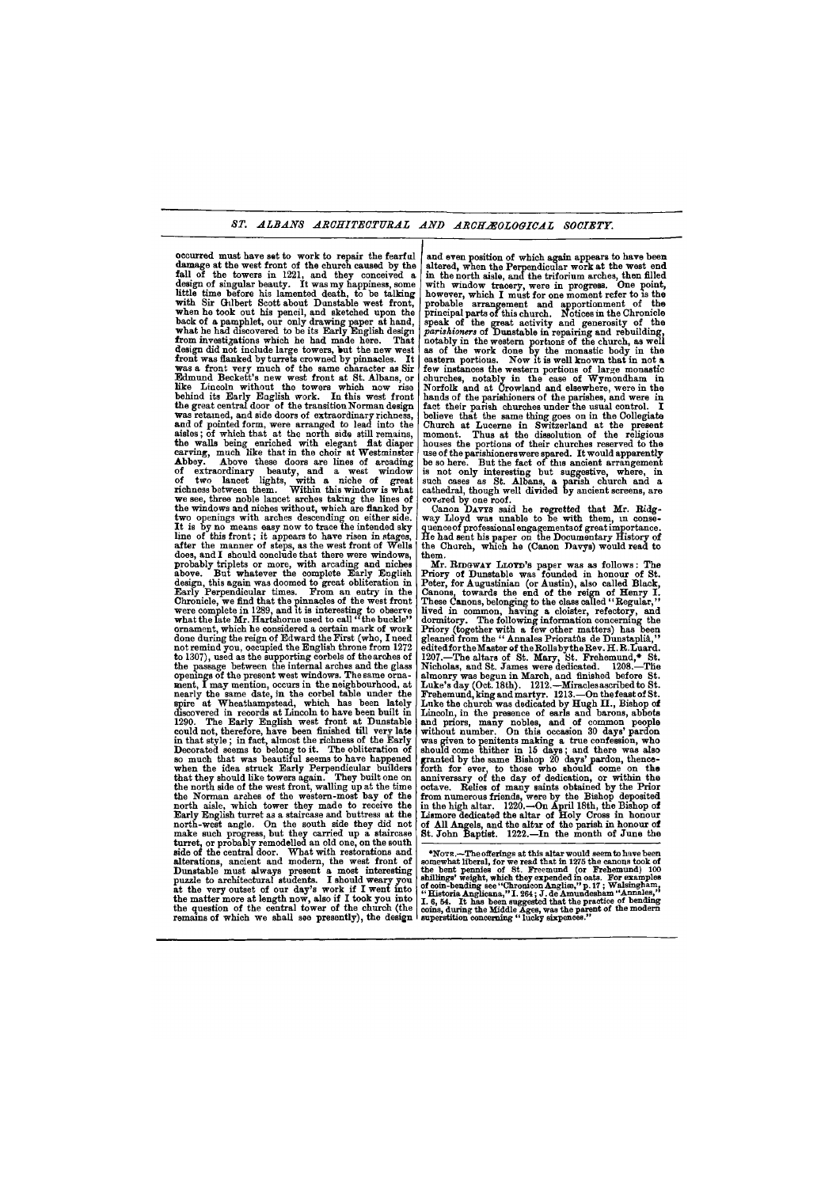## *ST. ALBANS ARCHITECTURAL AND ARCHAEOLOGICAL SOCIETY.*

occurred must have set to work to repair the fearful damage at the west front of the church caused by the fall of the towers in 1221, and they conceived a design of singular beauty. It was my happiness, some little time before his lamented death, to be talking with Sir Gilbert Scott about Dunstable west front, when he took out his pencil, and sketched upon the back of a pamphlet, our only drawing paper at hand, what he had discovered to be its Early English design from investigations which he had made here. That design did not include large towers, but the new west front was flanked by turrets crowned by pinnacles. It was a front very much of the same character as Sir Edmund Beckett's new west front at St. Albans, or like Lincoln without the towers which now rise behind its Early English work. In this west front the great central door of the transition Norman design was retained, and side doors of extraordinary richness, and of pointed form, were arranged to lead into the aisles; of which that at the north side still remains, which, of which may as the horin side sun remains, and waits being curicined with elegans has diapol Abbey. Above these doors are lines of arcading abboy. Above suese upper are mee of arcaumg of two lancet lights, with a niche of great richness between them. Within this window is what  $\frac{1}{2}$ we see, three noble lancet arches taking the lines of we see, three noble lancet arches taking the lines of the windows and niches without, which are flanked by two openings with arches descending on either side. It is by no means easy now to trace the intended sky it is by no means easy now to trace the intended sky after the manner of steps as the west front of Wells. after the manner of steps, as the west front of  $v$  eighthand  $\mathbf{I}$  should conclude that there were windows. qoes, and I should conclude that there were windows, probably triplets or more, with arcading and niches above. But whatever the complete Early English But whatever the complete Early English design, this again was doomed to great obliteration in Early Perpendicular times. From an entry in the Chronicle, we find that the pinnacles of the west front were complete in 1289, and it is interesting to observe what the late  $\bm{\mathtt{Mr.}}$  Hartshorne used to call "the buckle" ornament, which he considered a certain mark of work done during the reign of Edward the First (who, I need not remind you, occupied the English throne from 1272 to 1307), used as the supporting corbels of the arches of the passage between the internal arches and the glass openings of the present west windows. The same ornament, I may mention, occurs in the neighbourhood, at nearly the same date, in the corbel table under the spire at Wheathampstead, which has been lately discovered in records at Lincoln to have been built in 1290. The Early English west front at Dunstable could not, therefore, have been finished till very late in that style; in fact, almost the richness of the Early Decorated seems to belong to it. The obliteration of so much that was beautiful seems to have happened when the idea struck Early Perpendicular builders that they should like towers again. They built one on the north side of the west front, walling up at the time the Norman arches of the western-most bay of the north aisle, which tower they made to receive the Early English turret as a staircase and buttress at the north-west angle. On the south side they did not make such progress, but they carried up a staircase turret, or probably remodelled an old one, on the south side of the central door. What with restorations and alterations, ancient and modern, the west front of Dunstable must always present a most interesting. puzzle to architectural students. I should weary you at the very outset of our day's work if I went into the matter more at length now, also if  $I$  took you into the question of the central tower of the church (the and even position of which again appears to have been covered by one roof. way Lloyd was unable to be with them, in consethem. Peter, for Augustinian (or Austin), also called Black, edited for the Master of the Rolls by the Rev. H.R.Luard. almonry was begun in March, and finished before St. Luke's day (Oct. 18th). 1212.—Miracles ascribed to St. was given to penitents making a true confession, who should come thither in 15 days; and there was also granted by the same Bishop 20 days' pardon, thence-Lismore dedicated the altar of Holy Cross in honour \*NOTE**.—The offerings at this altar would seem to have been somewhat liberal, for we read that in 1275 the canons took of**  the bent pennies of St. Freemund (or Frehemund) 100<br>shillings' weight, which they expended in oats. For examples<br>of coin-bending see "Chronicon Angliae," p.17; Walsingham,<br>"Historia Anglicana," I. 264; J. de Amundesham "An

altered, when the Perpendicular work at the west end in the north aisle, and the triforium arches, then filled with window tracery, were in progress. One point, however, which I must for one moment refer to is the probable arrangement and apportionment of the principal parts of this church. Notices in the Chronicle speak of the great activity and generosity of the *parishioners* of Dunstable in repairing and rebuilding, notably in the western portions of the church, as well as of the work done by the monastic body in the eastern portions. Now it is well known that in not a few instances the western portions of large monastic churches, notably in the case of Wymondham in Norfolk and at Crowland and elsewhere, were in the hands of the parishioners of the parishes, and were in fact their parish churches under the usual control. I believe that the same thing goes on in the Collegiate Church at Lucerne in Switzerland at the present moment. Thus at the dissolution of the religious houses the portions of their churches reserved to the use of the parishioners were spared. It would apparently be so here. But the fact of this ancient arrangement is not only interesting but suggestive, where, in such cases as *St.* Albans, a parish church and a cathedral, though well divided by ancient screens, are

Canon DAVYS said he regretted that Mr. Ridgquence of professional engagements of great importance. He had sent his paper on the Documentary History of the Church, which he (Canon Davys) would read to

Mr. RIDGWAY LLOYD'S paper was as follows: The Priory of Dunstable was founded in honour of St. Canons, towards the end of the reign of Henry I. These Canons, belonging to the class called "Regular," lived in common, having a cloister, refectory, and dormitory. The following information concerning the Priory (together with a few other matters) has been gleaned from the " Annales Prioratus de Dunstaplia," 1207.—The altars of St. Mary, St. Frehemund,\* St. Nicholas, and St. James were dedicated. 1208.—The Frehemund, king and martyr. 1213.—On the feast of St. Luke the church was dedicated by Hugh II., Bishop of Lincoln, in the presence of earls and barons, abbots and priors, many nobles, and of common people without number. On this occasion 30 days' pardon forth for ever, to those who should come on the anniversary of the day of dedication, or within the octave. Relics of many saints obtained by the Prior from numerous friends, were by the Bishop deposited in the high altar. 1220.—On April 18th, the Bishop of of All Angels, and the altar of the parish in honour of St. John Baptist. 1222.—In the month of June the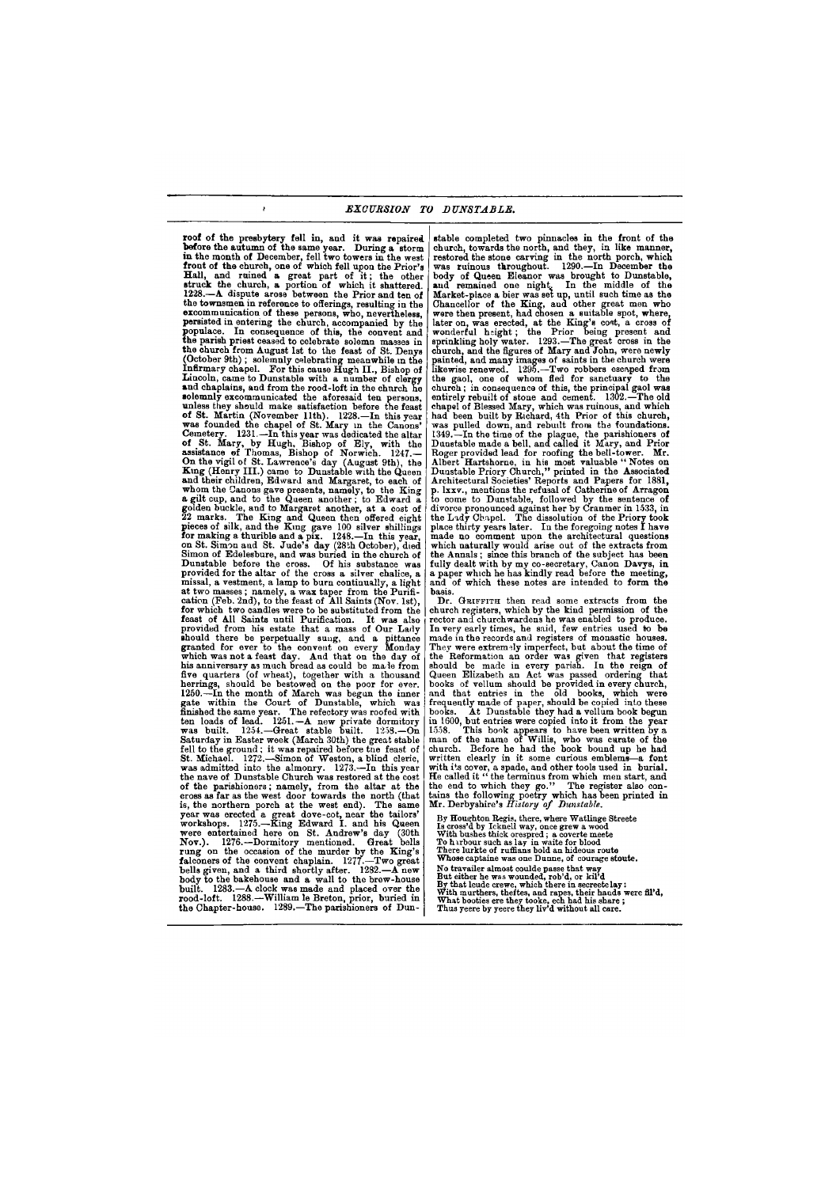**roof** of the presbytery fell in, and it was repaired before the autumn of the same year. During a storm in the month of December, fell two towers in the west front of the church, one of which fell upon the Prior's Hall, and ruined a great part of it; the other struck the church, a portion of which it shattered. 1228.—A dispute arose between the Prior and ten of the townsmen in reference to offerings, resulting in the excommunication of these persons, who, nevertheless, persisted in entering the church, accompanied by the populace. In consequence of this, the convent and the parish priest ceased to celebrate solemn masses in the church from August 1st to the feast of St. Denys (October 9th) ; solemnly celebrating meanwhile in the Infirmary chapel. For this cause Hugh II., Bishop of Lincoln, came to Dunstable with a number of clergy and chaplains, and from the rood-loft in the church he solemnly excommunicated the aforesaid ten persons, unless they should make satisfaction before the feast **of** St. Martin (November 11th). 1228.—In this year was founded the chapel of St. Mary in the Canons' was rounded the enapth of St. mary in the Canons<br>Camatery. 1931. To this year was dedicated the altar. **of** St. Mary, by Hugh, Bishop of Ely, with the assistance of Thomas, Bishop of Eny, while the  $\Omega$  the vigil of  $S_t$ . Lawrence's day (August 9th), the  $\Omega$ On the vigil of St. Lawrence's day (August 9th), the King (Henry III.) came to Dunstable with the Queen and their children, Edward and Margaret, to each of whom the Canons gave presents, namely, to the King a gilt cup, and to the Queen another; to Edward a golden buckle, and to Margaret another, at a cost of golden buckle, and to margaret another, at a cost of pieces of silk, and the King and Queen then offered eight pieces of sits, and the King gave 100 silver smilings. on St. Simon aud St. Jude's day (28th October), died on St. Simon and St. Jude's day (28th October), died Simon of Edelesbure, and was buried in the church of Dunstable before the cross. Of his substance was provided for the altar of the cross a silver chalice, a missal, a vestment, a lamp to burn continually, a light at two masses; namely, a wax taper from the Purification (Feb. 2nd), to the feast of All Saints (Nov. 1st), for which two candles were to be substituted from the feast of All Saints until Purification. It was also provided from his estate that a mass of Our Lady ahould there be perpetually sung, and a pittance granted for ever to the convent on every Monday which was not a feast day. And that on the day of his anniversary as much bread as could be made from five quarters (of wheat), together with a thousand herrings, should be bestowed on the poor for ever. 1250.—In the month of March was begun the inner gate within the Court of Dunstable, which was tin shed the same year. The refectory was roofed with ten loads of lead.  $125I$ .—A new private dormitory was built.  $1254$ .—Great stable built.  $1258$ .—On Saturday in Easter week (March 30th) the great stable fell to the ground; it was repaired before the feast of St. Michael. 1272.—Simon of Weston, a blind cleric, was admitted into the almonry. 1273.-In this year the nave of Dunstable Church was restored at the cost of the parishioners; namely, from the altar at the cross as far as the west door towards the north (that is, the northern porch at the west end). The same year was erected a great dove-cot, near the tailors' workshops.  $1275 -$ King Edward I. and his Queen were entertained here on St. Andrew's day (30th Nov.). 1276.-Dormitory mentioned. Great bells rung on the occasion of the murder by the King's falconers of the convent chaplain.  $1277$ -Two great bells given, and a third shortly after.  $1282 - A$  new body to the bakehouse and a wall to the brew-house built.  $1283$ .—A clock was made and placed over the

 $\mathbf{r}$ 

stable completed two pinnacles in the front of the church, towards the north, and they, in like manner, restored the stone carving in the north porch, which was ruinous throughout. 1290.—In December the body of Queen Eleanor was brought to Dunstable, and remained one night. In the middle of the Market-place a bier was set up, until such time as the Chancellor of the King, aud other great men who were then present, had chosen a suitable spot, where, later on, was erected, at the King's cost, a cross of wonderful height; the Prior being present and sprinkling holy water. 1293.—The great cross in the church, and the figures of Mary and John, were newly painted, and many images of saints in the church were likewise renewed. 1295.—Two robbers escaped from the gaol, one of whom fled for sanctuary to the church; in consequence of this, the principal gaol was entirely rebuilt of stone and cement. 1302.—The old chapel of Blessed Mary, which was ruinous, and which had been built by Richard, 4th Prior of this church, was pulled down, and rebuilt from the foundations. 1349.—In the time of the plague, the parishioners of Dunstable made a bell, and called it Mary, and Prior Roger provided lead for roofing the bell-tower. Mr. Albert Hartshorne, in his most valuable "Notes on Dunstable Priory Church," printed in the Associated Architectural Societies' Reports and Papers for 1881, p. lxxv., mentions the refusal of Catherine of Arragon to come to Dunstable, followed by the sentence of divorce pronounced against her by Cranmer in 1533, in the Lady Chapel. The dissolution of the Priory took place thirty years later. In the foregoing notes I have made no comment upon the architectural questions which naturally would arise out of the extracts from which hatutally would arise out of the extracts from the Annals, since this branch of the subject has been fully dealt with by my co-secretary, Canon Davys, in a paper which he has kindly read before the meeting, and of which these notes are intended to form the basis.

|                    | rood-loft. 1288.—William le Breton, prior, buried in | what murdiers, dienes, and rapes, their nature we.<br>What booties ere they tooke, ech had his share: |
|--------------------|------------------------------------------------------|-------------------------------------------------------------------------------------------------------|
| the Chapter-house. | 1289.—The parishioners of Dun-                       | Thus yeere by yeere they liv'd without all care.                                                      |

Dr. GRIFFITH then read some extracts from the church registers, which by the kind permission of the rector and churchwardens he was enabled to produce. In very early times, he said, few entries used to be made in the records and registers of monastic houses. They were extremely imperfect, but about the time of the Reformation an order was given that registers should be made in every parish. In the reign of Queen Elizabeth an Act was passed ordering that books of vellum should be provided in every church, and that entries in the old books, which were frequently made of paper, should be copied into these books. At Dunstable they had a vellum book begun in 1600, but entries were copied into it from the year 1558. This book appears to have been written by a man of the name of Willis, who was curate of the church. Before he had the book bound up he had written clearly in it some curious emblems—a font with its cover, a spade, and other tools used in burial. He called it " the terminus from which men start, and the end to which they go." The register also contains the following poetry which has been printed in Mr. Derbyshire's *History of Dunstable.* 

**By Houghton Regis, there, where Watlinge Streete Is cross'd by Ieknell way, once grew a wood With bushes thick orespred ; a coverte meete To harbour such as lay in waite for blood There lurkte of ruffians bold an hideous route Whose captaine was one Dunne, of courage stoute. No travailer almost coulde passe that way But either he was wounded, rob'd, or kil'd By that leude crewe, which there in secreetelay: With murthers, theftes, and rapes, their hands were fil'd,**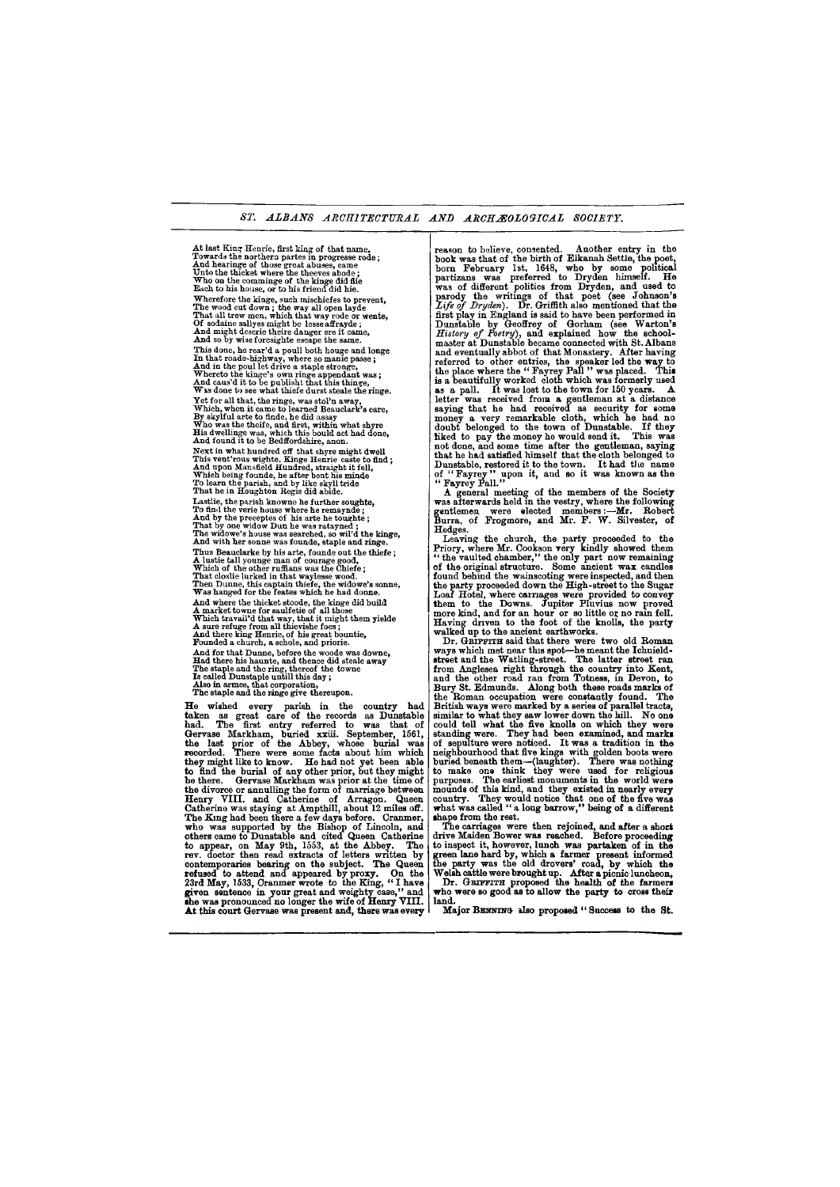#### *ST. ALBANS ARCHITECTURAL AND ARCHAEOL*OG*ICAL SOCIETY.*

**At last King Henrie, first king of that name, Towards the northern partes in progresse rode; And hearinge of those great abuses, came Unto the thicket where the theeves abode ; Who on the comminge of the kinge did flie Each to his house, or to his friend did hie. Wherefore the kinge, such mischiefes to prevent, The wood cut down ; the way all open layde That all trew men, which that way rode or wente, Of sodaine sallyes might be lesse affrayde ; And might descrie theire danger ere it came, And so by wise foresighte escape the same. This done, he rear'd a poull both houge and longe In that roade-highway, where so manie passe ; And in the poul let drive a staple stronge, Whereto the kinge's own ringe appendant was; And caus'd it to be publisht that this thinge, W i s done to see what thiefe durst steale the ringe.** 

**Yet for all that, the ringe, was stol'n away, Which, when it came to learned Beauclark's eare, By skylful arte to finde, he did assay Who was the theife, and first, within what shyre His dwellinge was, which this bould act had done, And found it to be Bedffordshire, anon. Next in what hundred off that shyre might dwell** 

He wished every parish in the country had taken as great care of the records as Dunstable had. The first entry referred to was that of Gervase Markham, buried xxiii. September, 1561, the last prior of the Abbey, whose burial was recorded. There were some facts about him which they might like to know. He had not yet been able to find the burial of any other prior, but they might be there. Gervase Markham was prior at the time of the divorce or annulling the form of marriage between Henry VIII . and Catherine of Arragon. Queen Catherine was staying at Ampthill, about 12 miles off. The King had been there a few days before. Cranmer, who was supported by the Bishop of Lincoln, and others came to Dunstable and cited Queen Catherine to appear, on May 9th, 1553, at the Abbey. The rev. doctor then read extracts of letters written by contemporaries bearing on the subject. The Queen refused to attend and appeared by proxy. On the 23rd May, 1533, Cranmer wrote to the King, " I have given sentence in your great and weighty case." and she was pronounced no longer the wife of Henry VIII. The was pronounced no longer the wife of Henry VIII, | land.<br>At this court Gervase was present and, there was every Ma similar to what they saw lower down the hill. No one could tell what the five knolls on which they were standing were. They had been examined, and marks of sepulture were noticed. It was a tradition in the neighbourhood that five kings with golden boots were buried beneath them—(laughter). There was nothing to make one think they were used for religious purposes. The earliest monuments in the world were mounds of this kind, and they existed in nearly every country. They would notice that one of the five was what was called " a long barrow," being of a different shape from the rest. The carriages were then rejoined, and after a short drive Maiden Bower was reached. Before proceeding to inspect it, however, lunch was partaken of in the green lane hard by, which a farmer present informed the party was the old drovers' road, by which the Welsh cattle were brought up. After a picnic luncheon, Dr. GRIFFITH proposed the health of the farmers who were so good as to allow the party to cross their At this court Gervase was present and, there was every | Major BENNING also proposed " Success to the St.

**This vent'rous wighte, Kinge Henrie caste to find; And upon Mansfield Hundred, straight it fell, Which being founde, he after bent his minde To learn the parish, and by like skyll tride That he in Houghton Regis did abide.** 

**Lastlie, the parish knowne he further soughte, To find the verie house where he remaynde; And by the preceptes of his arte he toughte; That by one widow Dun he was ratayned ; The widowe's house was searched, so wil'd the kinge, And with her sonne was founde, staple and ringe.**  reason to believe, consented. Another entry in the book was that of the birth of Elkanah Settle, the poet, born February 1st, 1648, who by some political partizans was preferred to Dryden himself. He was of different politics from Dryden, and used to parody the writings of that poet (see Johnson's *Life of Dryden).* Dr. Griffith also mentioned that the first play in England is said to have been performed in Dunstable by Geoffrey of Gorham (see Warton's *History of Poetry*), and explained how the schoolmaster at Dunstable became connected with St. Albans and eventually abbot of that Monastery. After having referred to other entries, the speaker led the way to the place where the " Favrey Pall " was placed. This is a beautifully worked cloth which was formerly used as a pall. It was lost to the town for 150 years. A letter was received from a gentleman at a distance saying that he had received as security for some money a very remarkable cloth, which he had no doubt belonged to the town of Dunstable. If they liked to pay the money he would send it. This was not done, and some time after the gentleman, saying that he had satisfied himself that the cloth belonged to mas no had sashing minison shase and orong before to  $\sigma$   $\epsilon$  "Fayrey" upon it, and so it was known as the  $\mathbf{F}_{\mathbf{y}}$   $\mathbf{F}_{\mathbf{y}}$   $\mathbf{F}_{\mathbf{y}}$   $\mathbf{F}_{\mathbf{y}}$   $\mathbf{F}_{\mathbf{y}}$   $\mathbf{F}_{\mathbf{y}}$ 

**Thus Beauclarke by his arte, founde out the thiefe; A lustie tall younge man of courage good, Which of the other ruffians was the Chiefe; That closlie lurked in that waylesse wood. Then Dunne, this captain thiefe, the widowe's sonne, Was hanged for the feates which he had donne. And where the thicket stoode, the kinge did build A market towne for saulfetie of all those Which travail'd that way, that it might them yielde A sure refuge from all thievishe foes; And there king Henrie, of his great bountie, Founded a church, a schole, and priorie. And for that Dunne, before the woode was downe, Had there his haunte, and thence did steale away The staple and the ring, thereof the towne Is called Dunstaple untill this day; Also in armes, that corporation, The staple and the ringe give thereupon.** 

A general meeting of the members of the Society was afterwards held in the vestry, where the following gentlemen were elected members:—Mr. Robert Burra, of Frogmore, and Mr. F. W. Silvester, of Hedges.

Leaving the church, the party proceeded to the Priory, where Mr. Cookson very kindly showed them " the vaulted chamber," the only part now remaining of the original structure. Some ancient wax candles found behind the wainscoting were inspected, and then the party proceeded down the High-street to the Sugar Loaf Hotel, where carriages were provided to convey them to the Downs. Jupiter Pluvius now proved more kind, and for an hour or so little or no rain fell. Having driven to the foot of the knolls, the party walked up to the ancient earthworks.

Dr. GRIFFITH said that there were two old Roman ways which met near this spot—he meant the Ichnieldstreet and the Watling-street. The latter street ran from Anglesea right through the country into Kent, and the other road ran from Totness, in Devon, to Bury St. Edmunds. Along both these roads marks of the Roman occupation were constantly found. The British ways were marked by a series of parallel tracts,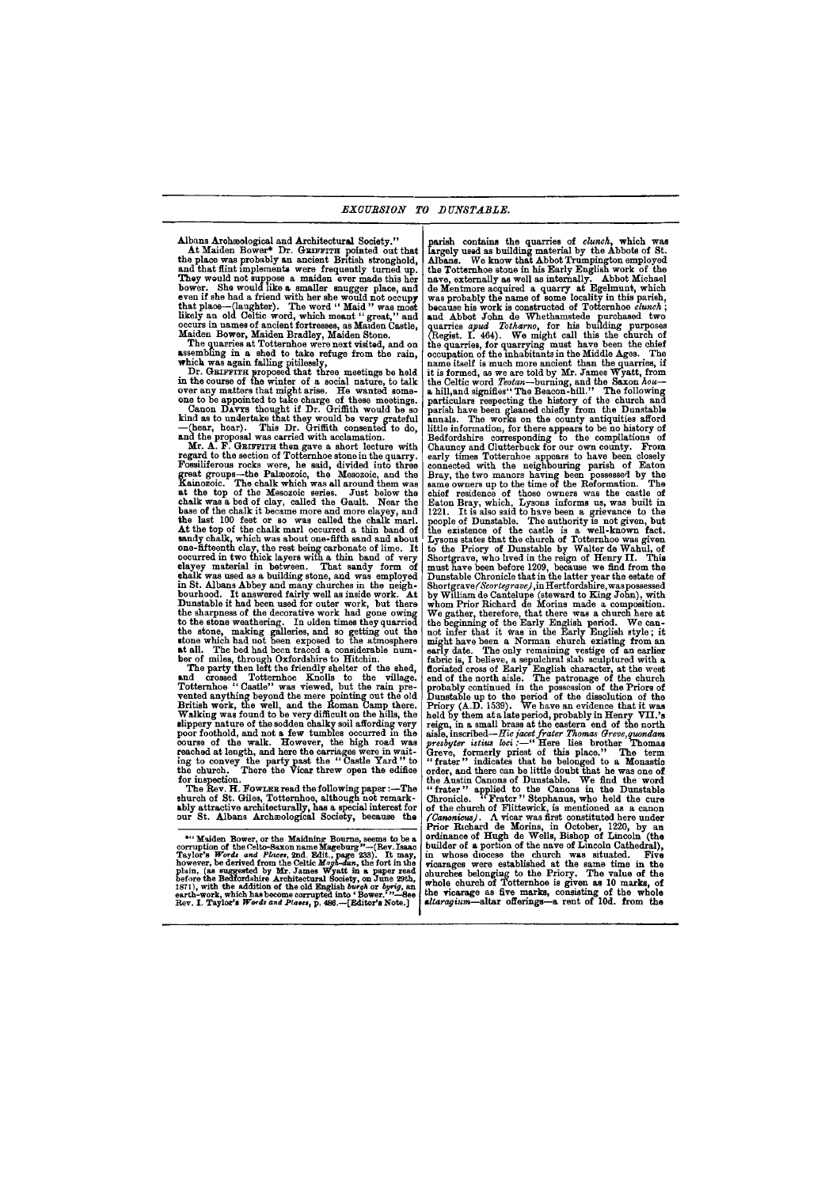Albans Archaeological and Architectural Society."

At Maiden Bower\* Dr. GRIFFITH pointed out that the place was probably an ancient British stronghold, and that flint implements were frequently turned up. They would not suppose a maiden ever made this her bower. She would like a smaller snugger place, and even if she had a friend with her she would not occupy that place—(laughter). The word " Maid " was most likely an old Celtic word, which meant " great," and occurs in names of ancient fortresses, as Maiden Castle, Maiden Bower, Maiden Bradley, Maiden Stone.

Dr. GEIFFITH proposed that three meetings be held in the course of the winter of a social nature, to talk over any matters that might arise. He wanted someone to be appointed to take charge of these meetings.

Canon DAVYS thought if Dr. Griffith would be so kind as to undertake that they would be very grateful —(hear, hear). This Dr. Griffith consented to do, and the proposal was carried with acclamation.

The quarries at Totternhoe were next visited, and on assembling in a shed to take refuge from the rain, which was again falling pitilessly,

The Rev. H. FOWLER read the following paper:-The church of St. Giles, Totternhoe, although not remarkably attractive architecturally, has a special interest for our St. Albans Archaeological Society, because the

Mr. A. F. GRIFFITH then gave a short lecture with regard to the section of Totternhoe stone in the quarry. Fossiliferous rocks were, he said, divided into three great groups—the Palaeozoic, the Mesozoic, and the Kainozoic. The chalk which was all around them was at the top of the Mesozoic series. Just below the chalk was a bed of clay, called the Gault. Near the base of the chalk it became more and more clayey, and the last 100 feet or so was called the chalk marl. At the top of the chalk marl occurred a thin band of sandy chalk, which was about one-fifth sand and about one-fifteenth clay, the rest being carbonate of lime. It oocurred in two thick layers with a thin band of very clayey material in between. That sandy form of chalk was used as a building stone, and was employed in St. Albans Abbey and many churches in the neighbourhood. It answered fairly well as inside work. At Dunstable it had been used for outer work, but there the sharpness of the decorative work had gone owing to the stone weathering. In olden times they quarried the stone, making galleries, and so getting out the stone which had not been exposed to the atmosphere at all. The bed had been traced a considerable number of miles, through Oxfordshire to Hitchin.

<sup>p</sup> arish contains the quarries of *clunch*, which was largely used as building material by the Abbots of St. Albans. We know that Abbot Trumpington employed the Totternhoe stone in his Early English work of the nave, externally as well as internally. Abbot Michael de Mentmore acquired a quarry at Egelmunt, which was probably the name of some locality in this parish, because his work is constructed of Totternhoe *clunch ;*  and Abbot John de Whethamstede purchased two quarries *apud Totharno*, for his building purposes (Regist. I. 464). We might call this the church of the quarries, for quarrying must have been the chief occupation of the inhabitants in the Middle Ages. The name itself is much more ancient than the quarries, if it is formed, as we are told by Mr. James Wyatt, from the Celtic word *Teotan*—burning, and the Saxon *hou*  a hill and signifies" The Beacon-hill." The following particulars respecting the history of the church and parish have been gleaned chiefly from the Dunstable annals. The works on the county antiquities afford little information, for there appears to be no history of Bedfordshire corresponding to the compilations of Chauncy and Clutterbuck for our own county. From early tunes Totternhoe appears to have been closely carry things rotating appears to have been electry Bray, the two manors having been possessed by the same owners up to the time of the Reformation. The chief residence of those owners was the castle of Eaton Bray, which, Lysons informs us, was built in paton pray, which, hysons informs as, was built in people of Dunstable. The authority is not given, but people of *Dunstable.* The authority is not given, but Lysons states that the church of Totternhoe was given to the Priory of Dunstable by Walter de Wahul, of Shortgrave, who lived in the reign of Henry II . This must have been before 1209, because we find from the must have been before 1209, because we find from the Dunstable Chronicle that in the latter year the estate of Shortgrave/Scortegrave), in Hertfordshire, was possessed buortgrave *cortegrave*, in Hertiorushire, was possessed<br>by William de Cantelupe (steward to King John), with whom Prior Richard de Morins made a composition. We gather, therefore, that there was a church here at the beginning of the Early English period. We can not infer that it was in the Early English style; it mot infer that it was in the marry magnem style; it early have been a inorman church existing from an earlier early date. The only remaining vesuge of an earlier floric is, I believe, a sepulcirat stab sculptured with a  $\epsilon$ noriated cross of Early English character, at the west end of the north alsie. The patronage of the church probably continued in the possession of the Priors of Dunstable up to the period of the dissolution of the  $P_{\text{min}}$  $\frac{1}{2}$  (A.D. 1939). We have an evidence that it was neig by them at a late period, probably in Henry VII.'s reign, in a small brass at the eastern end of the north aisie, inscriped—*Hic jacet frater Thomas Greve, quondam* presbyter istius  $\omega c_1 = \frac{c_1}{c_2}$  is the term in thomas Greve, formerly priest of this place." The term "frater" indicates that he belonged to a Monastic order, and there can be little doubt that he was one of the Austin Canons of Dunstable. We find the word " frater" applied to the Canons in the Dunstable Chronicle. "Frater" Stephanus, who held the cure of the church of Flittewick, is mentioned as a canonic *(Canonicus).* A vicar was first constituted here under Prior Richard de Morins, in October, 1220, by an ordinance of Hugh de Wells, Bishop of Lincoln (the builder of a portion of the nave of Lincoln Cathedral), in whose diocese the church was situated. Five vicarages were established at the same time in the churches belonging to the Priory. The value of the whole church of Totternhoe is given as 10 marks, of the vicarage as five marks, consisting of the whole

The party then left the friendly shelter of the shed, and crossed Totternhoe Knolls to the village. Totternhoe "Castle" was viewed, but the rain prevented anything beyond the mere pointing out the old British work, the well, and the Roman Camp there. Walking was found to be very difficult on the hills, the slippery nature of the sodden chalky soil affording very poor foothold, and not a few tumbles occurred in the course of the walk. However, the high road was reached at length, and here the carriages were in waiting to convey the party past the " Castle Yard " to the church. There the  $\hat{V}$ icar threw open the edifice for inspection.

**Rev. I. Taylor**'s *Words and Places,* **p. 486.—[Editor's Note.]** 

**<sup>\*</sup> " Maiden Bower, or the Maidning Bourne, seems to be a corruption of the Celto-Saxon name Mageburg "—(Rev. Isaac**  Taylor's Words and Places, 2nd. Edit., page 233). It may,<br>however, be derived from the Celtic Magh-dun, the fort in the<br>plain, (as suggested by Mr. James Wyatt in a paper read<br>force the Bedfordshire Architectural Society,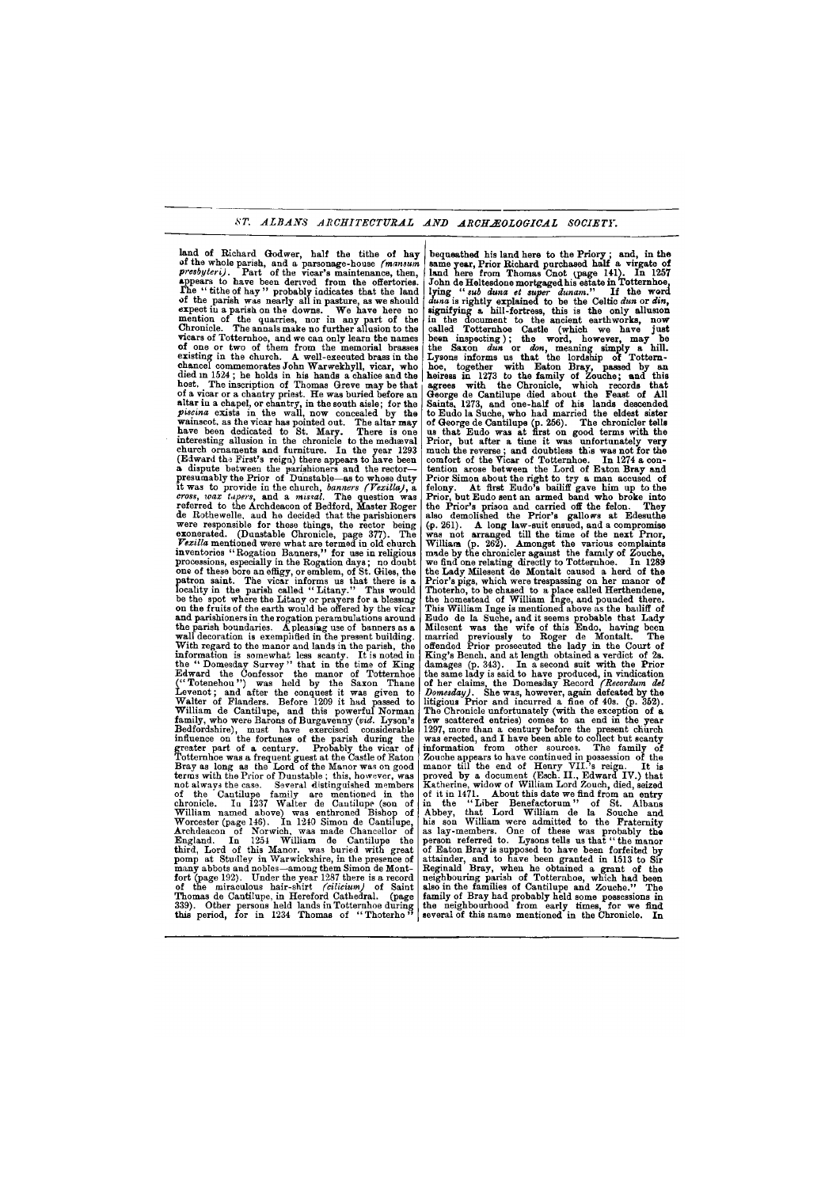# *ST. ALBANS ARCHITECTURAL AND ARCHAEOLOGICAL SOCIETY.*

land of Richard Godwer, half the tithe of hay of the whole parish, and a parsonage-house *(mansum presbyteri*). Part of the vicar's maintenance, then, appears to have been derived from the offertories. The "tithe of hay" probably indicates that the land of the parish was nearly all in pasture, as we should expect iu a parish on the downs. We have here no mention of the quarries, nor in any part of the Chronicle. The annals make no further allusion to the vicars of Totternhoe, and we can only learn the names of one or two of them from the memorial brasses existing in the church. A well-executed brass in the chancel commemorates John Warwekhyll, vicar, who  $\frac{1}{\text{d}}$  in 1524 ; he holds in his hands a chalice and the host. The inscription of Thomas Greve may be that of a vicar or a chantry priest. He was buried before an altar in a chapel, or chantry, in the south aisle; for the piscina exists in the wall, now concealed by the wainscot, as the vicar has pointed out. The altar may wanisood, as die viear has politied out. The aftal may nove been ucurested to be. mary. There is one church ornaments and furniture. In the year 1293 endren ornaments and rurniture. In the year 1255 a dispute between the parishioners and the rector a dispute between the parishioners and the rector-<br>presumably the Prior of Dunstable—as to whose duty it was to provide in the church, *banners (Vexilla)*, a *comproved in the church, banners (vextility)*, and  $\alpha$  missal. The question was referred to the Archdeacon of Bedford, The question was de Rothers legal de Roman de Rodrom, master hoger we responsible, and he decided that the parishioners were responsible for these things, the rector being exonerated. (Dunstable Chronicle, page 377). The Vexilla mentioned were what are termed in old church inventories "Rogation Banners," for use in religious processions, especially in the Rogation days; no doubt one of these bore an effigy, or emblem, of St. Giles, the patron saint. The vicar informs us that there is a locality in the parish called "Litany." This would be the spot where the Litany or prayers for a blessing on the fruits of the earth would be offered by the vicar and parishioners in the rogation perambulations around the parish boundaries. A pleasing use of banners as a wall decoration is exemplified in the present building. With regard to the manor and lands in the parish, the information is somewhat less scanty. It is noted in the "Domesday Survey" that in the time of King Edward the Confessor the manor of Totternhoe ("Totenehou") was held by the Saxon Thane Levenot; and after the conquest it was given to Walter of Flanders. Before 1209 it had passed to William de Cantilupe, and this powerful Norman family, who were Barons of Burgavenny (vid. Lyson's  $B$ edfordshire), must have exercised considerable influence on the fortunes of the parish during the greater part of a century. Probably the vicar of Totternhoe was a frequent guest at the Castle of Eaton Bray as long as the Lord of the Manor was on good terms with the Prior of Dunstable; this, however, was not always the case. Several distinguished members of the Cantilupe family are mentioned in the chronicle. In 1237 Walter de Cantilupe (son of William named above) was enthroned Bishop of Worcester (page 146). In 1240 Simon de Cantilupe. Archdeacon of Norwich, was made Chancellor of  $Enzland, In 1254 William de Cantilune the$ third. Lord of this Manor, was buried with great  $\overline{\text{p}}$  about a both  $\overline{\text{p}}$  at Studley in Warwickshire, in the presence of  $f_{\text{many}}$  abbots and nobles—among them Simon de Montfort (page 192). Under the year  $1287$  there is a record of the miraculous hair-shirt (cilicium) of Saint

Thomas de Cantilune in Hereford Cathedral. (page Thomas de Cantilupe, in Hereford Cathedral. (page | family of Bray had probably held some possessions in  $\frac{1}{339}$ . Other nersons held lands in Totternhoe during | the neighbourhood from early times, for we find bequeathed his land here to the Priory ; and, in the same year, Prior Richard purchased half a virgate of land here from Thomas Cnot (page 141). In 1257 John de Heltesdone mortgaged his estate in Totternhoe, lying " *sub duna et super dunam."* If the word *duna* is rightly explained to be the Celtic *dun* or *din,*  signifying a hill-fortress, this is the only allusion in the document to the ancient earthworks, now called Totternhoe Castle (which we have just been inspecting); the word, however, may be the Saxon *dun* or *don,* meaning simply a hill. Lysons informs us that the lordship of Totternhoe, together with Eaton Bray, passed by an heiress in 1273 to the family of Zouche; and this agrees with the Chronicle, which records that George de Cantilupe died about the Feast of All Saints, 1273, and one-half of his lands descended to Eudo la Suche, who had married the eldest sister of George de Cantilupe (p. 256). The chronicler tells us that Eudo was at first on good terms with the Prior, but after a time it was unfortunately very much the reverse ; and doubtless this was not for the comfort of the Vicar of Totternhoe. In 1274 a contention arose between the Lord of Eaton Bray and Prior Simon about the right to try a man accused of felony. At first Eudo's bailiff gave him up to the Prior, but Eudo sent an armed band who broke into the Prior's prison and carried off the felon. They also demolished the Prior's gallons at Edesuthe also demonshed alle fillers gallows as Bucsulus was not arranged till the time of the next Prior, William (p. 262). Amongst the various complaints made by the chronicler against the family of Zouche, made by the chronicler against the Tanitry of Zouche, the Lady Milesent de Montalt caused a herd of the prior's pigs, which were treated as new manor of the Thoterho, to be chased to a place called Herthendene, the homestead of William Inge, and pounded there. This William Inge is mentioned above as the bailiff of Eudo de la Suche, and it seems probable that Lady mules de la Suche, and it seems probable that mady milesent was the wife of this made, having been married previously to Roger de Montalt. The offended  $P$ rior prosecuted the lady in the Court of King's Bench, and at length obtained a verdict of 2s. damages  $(p. 343)$ . In a second suit with the Prior the same lady is said to have produced, in vindication of her claims, the Domesday Record *[Recordum del*]  $\nu$  lomesday). She was, however, again deteated by the litigious Prior and incurred a fine of  $40s$ . (p.  $352$ ). The Chronicle unfortunately (with the exception of a few scattered entries) comes to an end in the year 1297, more than a century before the present church was erected, and I have been able to collect but scanty information from other sources. The family of Zouche appears to have continued in possession of the manor till the end of Henry VII.'s reign. It is proved by a document (Esch. II., Edward IV.) that Katherine, widow of William Lord Zouch, died, seized of it in 1471. About this date we find from an entry in the "Liber Benefactorum" of St. Albans Abbey, that Lord William de la Souche and his son William were admitted to the Fraternity as lay-members. One of these was probably the person referred to. Lysons tells us that "the manor of Eaton Bray is supposed to have been forfeited by attainder, and to have been granted in 1513 to Sir Reginald Bray, when he obtained a grant of the neighbouring parish of Totternhoe, which had been also in the families of Cantilupe and Zouche." The the neighbourhood from early times, for we find